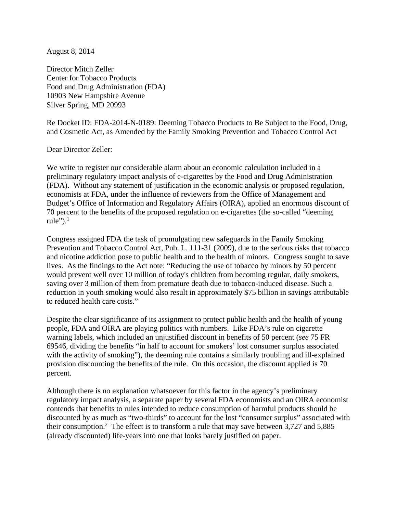August 8, 2014

Director Mitch Zeller Center for Tobacco Products Food and Drug Administration (FDA) 10903 New Hampshire Avenue Silver Spring, MD 20993

Re Docket ID: FDA-2014-N-0189: Deeming Tobacco Products to Be Subject to the Food, Drug, and Cosmetic Act, as Amended by the Family Smoking Prevention and Tobacco Control Act

Dear Director Zeller:

We write to register our considerable alarm about an economic calculation included in a preliminary regulatory impact analysis of e-cigarettes by the Food and Drug Administration (FDA). Without any statement of justification in the economic analysis or proposed regulation, economists at FDA, under the influence of reviewers from the Office of Management and Budget's Office of Information and Regulatory Affairs (OIRA), applied an enormous discount of 70 percent to the benefits of the proposed regulation on e-cigarettes (the so-called "deeming rule" $)$ .<sup>1</sup>

Congress assigned FDA the task of promulgating new safeguards in the Family Smoking Prevention and Tobacco Control Act, Pub. L. 111-31 (2009), due to the serious risks that tobacco and nicotine addiction pose to public health and to the health of minors. Congress sought to save lives. As the findings to the Act note: "Reducing the use of tobacco by minors by 50 percent would prevent well over 10 million of today's children from becoming regular, daily smokers, saving over 3 million of them from premature death due to tobacco-induced disease. Such a reduction in youth smoking would also result in approximately \$75 billion in savings attributable to reduced health care costs."

Despite the clear significance of its assignment to protect public health and the health of young people, FDA and OIRA are playing politics with numbers. Like FDA's rule on cigarette warning labels, which included an unjustified discount in benefits of 50 percent (*see* 75 FR 69546, dividing the benefits "in half to account for smokers' lost consumer surplus associated with the activity of smoking"), the deeming rule contains a similarly troubling and ill-explained provision discounting the benefits of the rule. On this occasion, the discount applied is 70 percent.

Although there is no explanation whatsoever for this factor in the agency's preliminary regulatory impact analysis, a separate paper by several FDA economists and an OIRA economist contends that benefits to rules intended to reduce consumption of harmful products should be discounted by as much as "two-thirds" to account for the lost "consumer surplus" associated with their consumption.<sup>2</sup> The effect is to transform a rule that may save between 3,727 and 5,885 (already discounted) life-years into one that looks barely justified on paper.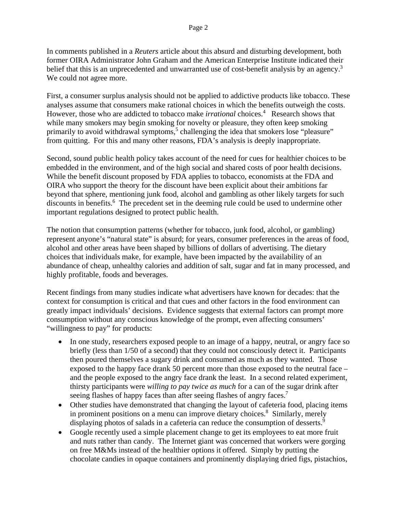In comments published in a *Reuters* article about this absurd and disturbing development, both former OIRA Administrator John Graham and the American Enterprise Institute indicated their belief that this is an unprecedented and unwarranted use of cost-benefit analysis by an agency.<sup>3</sup> We could not agree more.

First, a consumer surplus analysis should not be applied to addictive products like tobacco. These analyses assume that consumers make rational choices in which the benefits outweigh the costs. However, those who are addicted to tobacco make *irrational* choices.<sup>4</sup> Research shows that while many smokers may begin smoking for novelty or pleasure, they often keep smoking primarily to avoid withdrawal symptoms,<sup>5</sup> challenging the idea that smokers lose "pleasure" from quitting. For this and many other reasons, FDA's analysis is deeply inappropriate.

Second, sound public health policy takes account of the need for cues for healthier choices to be embedded in the environment, and of the high social and shared costs of poor health decisions. While the benefit discount proposed by FDA applies to tobacco, economists at the FDA and OIRA who support the theory for the discount have been explicit about their ambitions far beyond that sphere, mentioning junk food, alcohol and gambling as other likely targets for such discounts in benefits.<sup>6</sup> The precedent set in the deeming rule could be used to undermine other important regulations designed to protect public health.

The notion that consumption patterns (whether for tobacco, junk food, alcohol, or gambling) represent anyone's "natural state" is absurd; for years, consumer preferences in the areas of food, alcohol and other areas have been shaped by billions of dollars of advertising. The dietary choices that individuals make, for example, have been impacted by the availability of an abundance of cheap, unhealthy calories and addition of salt, sugar and fat in many processed, and highly profitable, foods and beverages.

Recent findings from many studies indicate what advertisers have known for decades: that the context for consumption is critical and that cues and other factors in the food environment can greatly impact individuals' decisions. Evidence suggests that external factors can prompt more consumption without any conscious knowledge of the prompt, even affecting consumers' "willingness to pay" for products:

- In one study, researchers exposed people to an image of a happy, neutral, or angry face so briefly (less than 1/50 of a second) that they could not consciously detect it. Participants then poured themselves a sugary drink and consumed as much as they wanted. Those exposed to the happy face drank 50 percent more than those exposed to the neutral face – and the people exposed to the angry face drank the least. In a second related experiment, thirsty participants were *willing to pay twice as much* for a can of the sugar drink after seeing flashes of happy faces than after seeing flashes of angry faces.<sup>7</sup>
- Other studies have demonstrated that changing the layout of cafeteria food, placing items in prominent positions on a menu can improve dietary choices.<sup>8</sup> Similarly, merely displaying photos of salads in a cafeteria can reduce the consumption of desserts.<sup>9</sup>
- Google recently used a simple placement change to get its employees to eat more fruit and nuts rather than candy. The Internet giant was concerned that workers were gorging on free M&Ms instead of the healthier options it offered. Simply by putting the chocolate candies in opaque containers and prominently displaying dried figs, pistachios,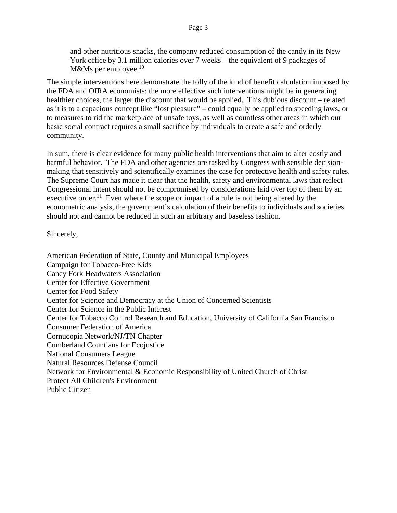and other nutritious snacks, the company reduced consumption of the candy in its New York office by 3.1 million calories over 7 weeks – the equivalent of 9 packages of M&Ms per employee.<sup>10</sup>

The simple interventions here demonstrate the folly of the kind of benefit calculation imposed by the FDA and OIRA economists: the more effective such interventions might be in generating healthier choices, the larger the discount that would be applied. This dubious discount – related as it is to a capacious concept like "lost pleasure" – could equally be applied to speeding laws, or to measures to rid the marketplace of unsafe toys, as well as countless other areas in which our basic social contract requires a small sacrifice by individuals to create a safe and orderly community.

In sum, there is clear evidence for many public health interventions that aim to alter costly and harmful behavior. The FDA and other agencies are tasked by Congress with sensible decisionmaking that sensitively and scientifically examines the case for protective health and safety rules. The Supreme Court has made it clear that the health, safety and environmental laws that reflect Congressional intent should not be compromised by considerations laid over top of them by an executive order.<sup>11</sup> Even where the scope or impact of a rule is not being altered by the econometric analysis, the government's calculation of their benefits to individuals and societies should not and cannot be reduced in such an arbitrary and baseless fashion.

## Sincerely,

American Federation of State, County and Municipal Employees Campaign for Tobacco-Free Kids Caney Fork Headwaters Association Center for Effective Government Center for Food Safety Center for Science and Democracy at the Union of Concerned Scientists Center for Science in the Public Interest Center for Tobacco Control Research and Education, University of California San Francisco Consumer Federation of America Cornucopia Network/NJ/TN Chapter Cumberland Countians for Ecojustice National Consumers League Natural Resources Defense Council Network for Environmental & Economic Responsibility of United Church of Christ Protect All Children's Environment Public Citizen